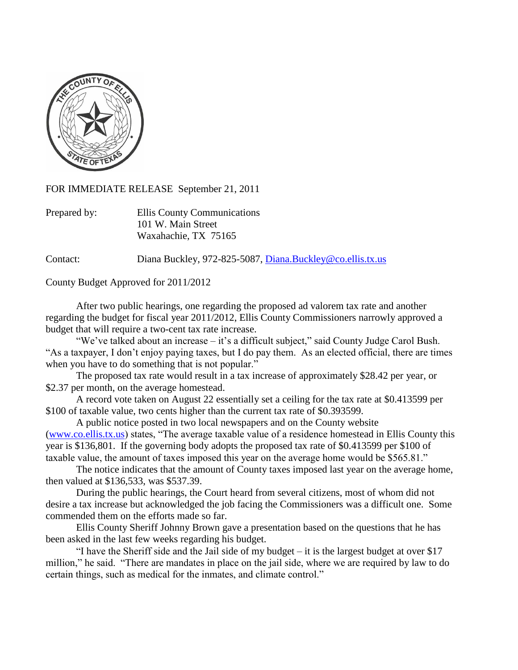

FOR IMMEDIATE RELEASE September 21, 2011

| Prepared by: | Ellis County Communications |
|--------------|-----------------------------|
|              | 101 W. Main Street          |
|              | Waxahachie, TX 75165        |

Contact: Diana Buckley, 972-825-5087, [Diana.Buckley@co.ellis.tx.us](mailto:Diana.Buckley@co.ellis.tx.us)

County Budget Approved for 2011/2012

After two public hearings, one regarding the proposed ad valorem tax rate and another regarding the budget for fiscal year 2011/2012, Ellis County Commissioners narrowly approved a budget that will require a two-cent tax rate increase.

"We've talked about an increase – it's a difficult subject," said County Judge Carol Bush. "As a taxpayer, I don't enjoy paying taxes, but I do pay them. As an elected official, there are times when you have to do something that is not popular."

The proposed tax rate would result in a tax increase of approximately \$28.42 per year, or \$2.37 per month, on the average homestead.

A record vote taken on August 22 essentially set a ceiling for the tax rate at \$0.413599 per \$100 of taxable value, two cents higher than the current tax rate of \$0.393599.

A public notice posted in two local newspapers and on the County website [\(www.co.ellis.tx.us\)](http://www.co.ellis.tx.us/) states, "The average taxable value of a residence homestead in Ellis County this year is \$136,801. If the governing body adopts the proposed tax rate of \$0.413599 per \$100 of taxable value, the amount of taxes imposed this year on the average home would be \$565.81."

The notice indicates that the amount of County taxes imposed last year on the average home, then valued at \$136,533, was \$537.39.

During the public hearings, the Court heard from several citizens, most of whom did not desire a tax increase but acknowledged the job facing the Commissioners was a difficult one. Some commended them on the efforts made so far.

Ellis County Sheriff Johnny Brown gave a presentation based on the questions that he has been asked in the last few weeks regarding his budget.

"I have the Sheriff side and the Jail side of my budget – it is the largest budget at over \$17 million," he said. "There are mandates in place on the jail side, where we are required by law to do certain things, such as medical for the inmates, and climate control."